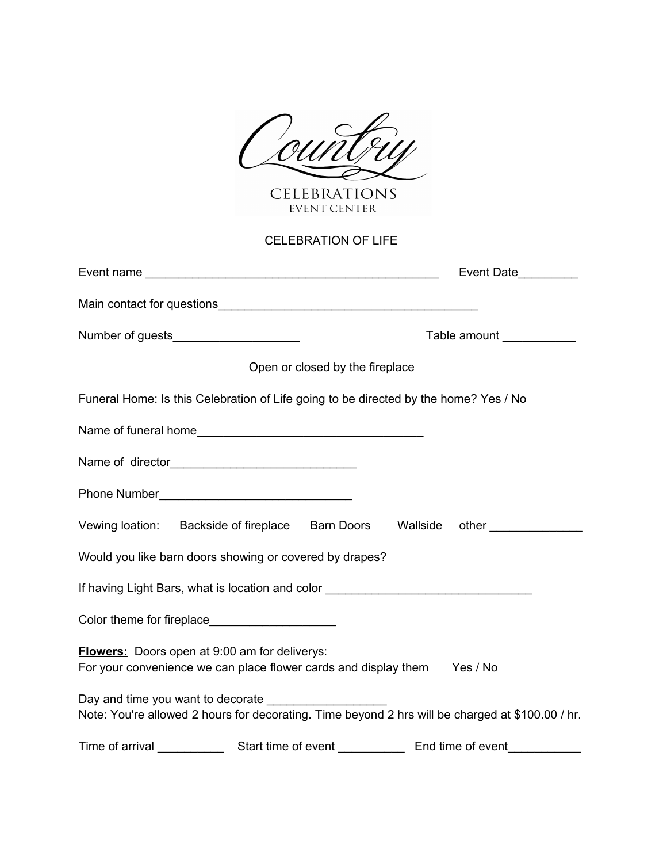

CELEBRATIONS

## CELEBRATION OF LIFE

|                                                                                                                                  |                                 | Event Date_________                                                                              |
|----------------------------------------------------------------------------------------------------------------------------------|---------------------------------|--------------------------------------------------------------------------------------------------|
|                                                                                                                                  |                                 |                                                                                                  |
| Number of guests______________________                                                                                           |                                 | Table amount ___________                                                                         |
|                                                                                                                                  | Open or closed by the fireplace |                                                                                                  |
|                                                                                                                                  |                                 | Funeral Home: Is this Celebration of Life going to be directed by the home? Yes / No             |
|                                                                                                                                  |                                 |                                                                                                  |
|                                                                                                                                  |                                 |                                                                                                  |
|                                                                                                                                  |                                 |                                                                                                  |
|                                                                                                                                  |                                 | Vewing loation: Backside of fireplace Barn Doors  Wallside other                                 |
| Would you like barn doors showing or covered by drapes?                                                                          |                                 |                                                                                                  |
|                                                                                                                                  |                                 | If having Light Bars, what is location and color _______________________________                 |
|                                                                                                                                  |                                 |                                                                                                  |
| <b>Flowers:</b> Doors open at 9:00 am for deliverys:<br>For your convenience we can place flower cards and display them Yes / No |                                 |                                                                                                  |
| Day and time you want to decorate                                                                                                |                                 | Note: You're allowed 2 hours for decorating. Time beyond 2 hrs will be charged at \$100.00 / hr. |
|                                                                                                                                  |                                 |                                                                                                  |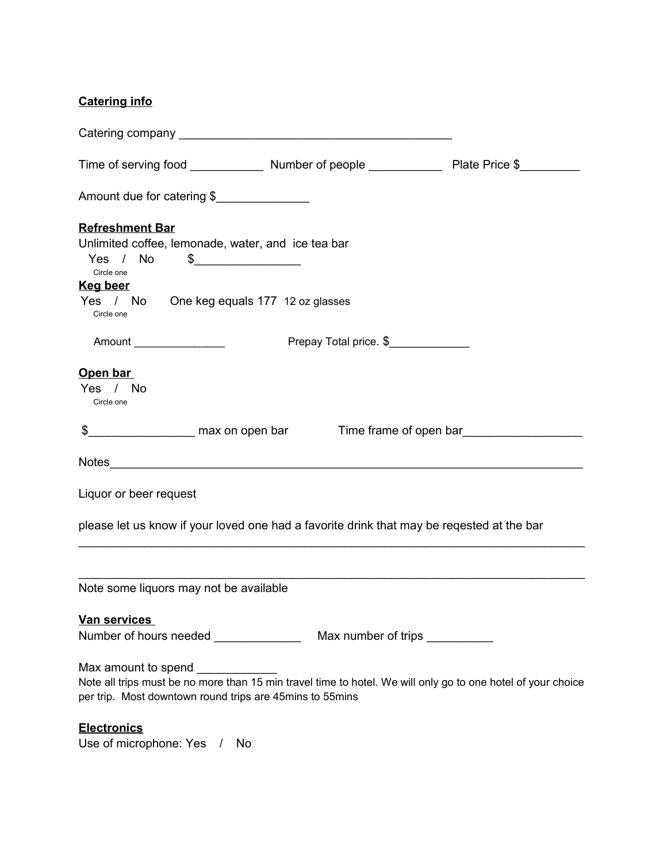## **Catering info**

| Amount due for catering \$                                                                                                                                               |                        |                        |
|--------------------------------------------------------------------------------------------------------------------------------------------------------------------------|------------------------|------------------------|
| <b>Refreshment Bar</b>                                                                                                                                                   |                        |                        |
| Unlimited coffee, lemonade, water, and ice tea bar                                                                                                                       |                        |                        |
| Yes / No<br>$\frac{1}{2}$                                                                                                                                                |                        |                        |
| Circle one                                                                                                                                                               |                        |                        |
| <u>Keg beer</u>                                                                                                                                                          |                        |                        |
| Yes / No One keg equals 177 12 oz glasses<br>Circle one                                                                                                                  |                        |                        |
| Amount __________________                                                                                                                                                | Prepay Total price. \$ |                        |
| Open bar                                                                                                                                                                 |                        |                        |
| Yes / No                                                                                                                                                                 |                        |                        |
| Circle one                                                                                                                                                               |                        |                        |
| \$________________________ max on open bar                                                                                                                               |                        | Time frame of open bar |
|                                                                                                                                                                          |                        |                        |
| Liquor or beer request                                                                                                                                                   |                        |                        |
| please let us know if your loved one had a favorite drink that may be reqested at the bar                                                                                |                        |                        |
| Note some liquors may not be available                                                                                                                                   |                        |                        |
| <b>Van services</b>                                                                                                                                                      |                        |                        |
|                                                                                                                                                                          |                        |                        |
| Max amount to spend _____________                                                                                                                                        |                        |                        |
| Note all trips must be no more than 15 min travel time to hotel. We will only go to one hotel of your choice<br>per trip. Most downtown round trips are 45mins to 55mins |                        |                        |
| <b>Electronics</b>                                                                                                                                                       |                        |                        |
| $Lepo$ of microphono: $Vop \sim L$                                                                                                                                       |                        |                        |

Use of microphone: Yes / No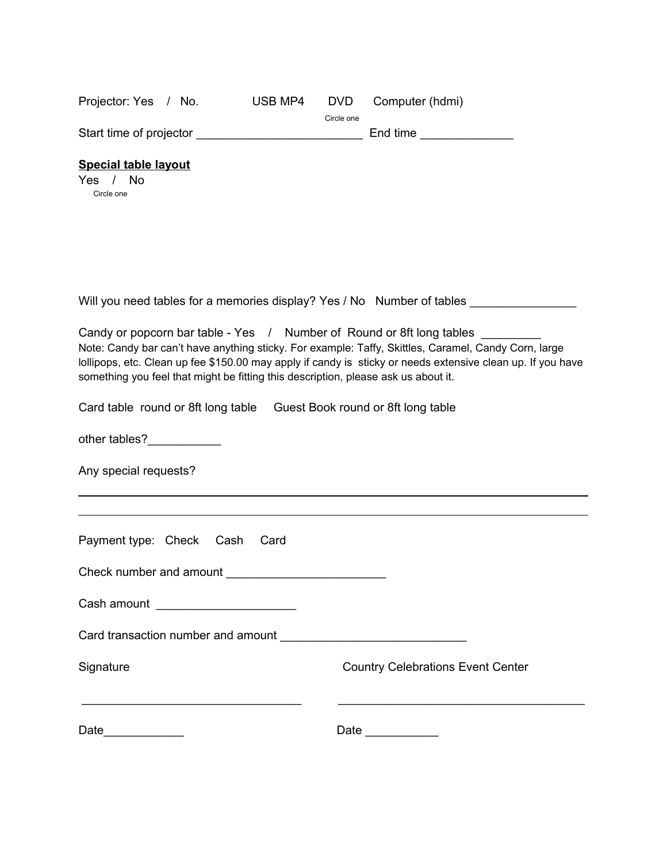| Projector: Yes / No.                                                                                                                                        | USB MP4 | <b>DVD</b><br>Circle one | Computer (hdmi)                                                                                                                                                                                                     |
|-------------------------------------------------------------------------------------------------------------------------------------------------------------|---------|--------------------------|---------------------------------------------------------------------------------------------------------------------------------------------------------------------------------------------------------------------|
|                                                                                                                                                             |         |                          | End time ________________                                                                                                                                                                                           |
| <b>Special table layout</b><br>Yes / No<br>Circle one                                                                                                       |         |                          |                                                                                                                                                                                                                     |
|                                                                                                                                                             |         |                          |                                                                                                                                                                                                                     |
|                                                                                                                                                             |         |                          | Will you need tables for a memories display? Yes / No Number of tables _______________                                                                                                                              |
| Candy or popcorn bar table - Yes / Number of Round or 8ft long tables<br>something you feel that might be fitting this description, please ask us about it. |         |                          | Note: Candy bar can't have anything sticky. For example: Taffy, Skittles, Caramel, Candy Corn, large<br>lollipops, etc. Clean up fee \$150.00 may apply if candy is sticky or needs extensive clean up. If you have |
| Card table round or 8ft long table Guest Book round or 8ft long table                                                                                       |         |                          |                                                                                                                                                                                                                     |
| other tables?__________                                                                                                                                     |         |                          |                                                                                                                                                                                                                     |
| Any special requests?                                                                                                                                       |         |                          |                                                                                                                                                                                                                     |
|                                                                                                                                                             |         |                          |                                                                                                                                                                                                                     |
| Payment type: Check Cash                                                                                                                                    | Card    |                          |                                                                                                                                                                                                                     |
|                                                                                                                                                             |         |                          |                                                                                                                                                                                                                     |
| Cash amount ________________________                                                                                                                        |         |                          |                                                                                                                                                                                                                     |
|                                                                                                                                                             |         |                          |                                                                                                                                                                                                                     |
| Signature                                                                                                                                                   |         |                          | <b>Country Celebrations Event Center</b>                                                                                                                                                                            |
| Date                                                                                                                                                        |         |                          |                                                                                                                                                                                                                     |